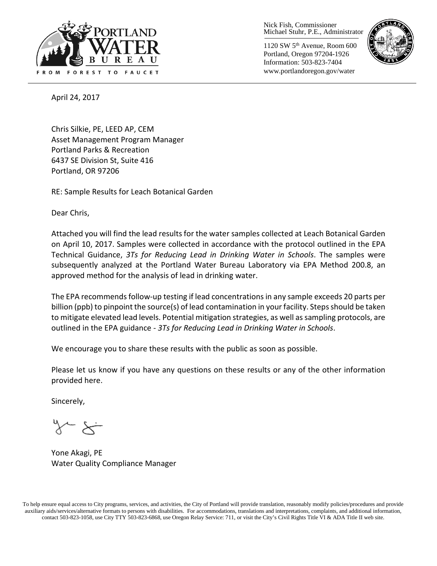

Nick Fish, Commissioner Michael Stuhr, P.E., Administrator

1120 SW 5th Avenue, Room 600 Portland, Oregon 97204-1926 Information: 503-823-7404 www.portlandoregon.gov/water



April 24, 2017

Chris Silkie, PE, LEED AP, CEM Asset Management Program Manager Portland Parks & Recreation 6437 SE Division St, Suite 416 Portland, OR 97206

RE: Sample Results for Leach Botanical Garden

Dear Chris,

Attached you will find the lead results for the water samples collected at Leach Botanical Garden on April 10, 2017. Samples were collected in accordance with the protocol outlined in the EPA Technical Guidance, *3Ts for Reducing Lead in Drinking Water in Schools*. The samples were subsequently analyzed at the Portland Water Bureau Laboratory via EPA Method 200.8, an approved method for the analysis of lead in drinking water.

The EPA recommends follow-up testing if lead concentrations in any sample exceeds 20 parts per billion (ppb) to pinpoint the source(s) of lead contamination in your facility. Steps should be taken to mitigate elevated lead levels. Potential mitigation strategies, as well as sampling protocols, are outlined in the EPA guidance - *3Ts for Reducing Lead in Drinking Water in Schools*.

We encourage you to share these results with the public as soon as possible.

Please let us know if you have any questions on these results or any of the other information provided here.

Sincerely,

Yone Akagi, PE Water Quality Compliance Manager

To help ensure equal access to City programs, services, and activities, the City of Portland will provide translation, reasonably modify policies/procedures and provide auxiliary aids/services/alternative formats to persons with disabilities. For accommodations, translations and interpretations, complaints, and additional information, contact 503-823-1058, use City TTY 503-823-6868, use Oregon Relay Service: 711, or visi[t the City's Civil Rights Title VI & ADA Title II web site.](http://www.portlandoregon.gov/oehr/66458)